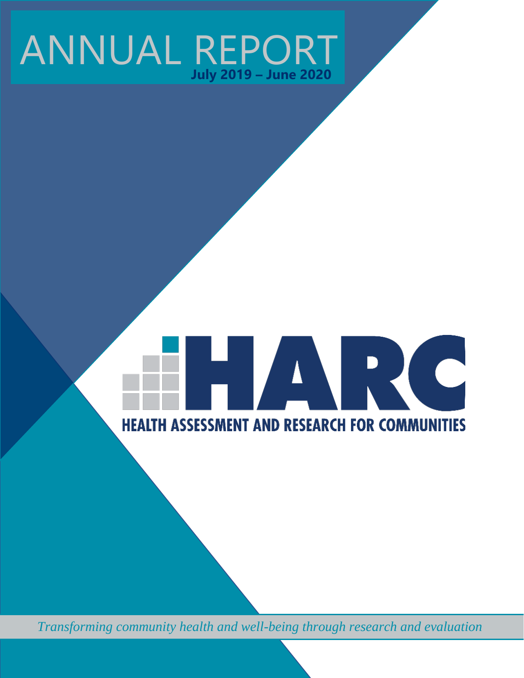## ANNUAL REPORT **July 2019 – June 2020**

# **TARC HEALTH ASSESSMENT AND RESEARCH FOR COMMUNITIES**

*Transforming community health and well-being through research and evaluation*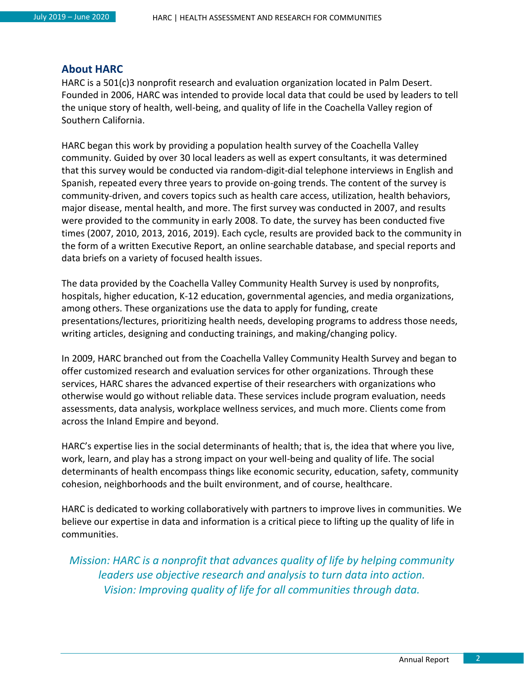#### <span id="page-1-0"></span>**About HARC**

HARC is a 501(c)3 nonprofit research and evaluation organization located in Palm Desert. Founded in 2006, HARC was intended to provide local data that could be used by leaders to tell the unique story of health, well-being, and quality of life in the Coachella Valley region of Southern California.

HARC began this work by providing a population health survey of the Coachella Valley community. Guided by over 30 local leaders as well as expert consultants, it was determined that this survey would be conducted via random-digit-dial telephone interviews in English and Spanish, repeated every three years to provide on-going trends. The content of the survey is community-driven, and covers topics such as health care access, utilization, health behaviors, major disease, mental health, and more. The first survey was conducted in 2007, and results were provided to the community in early 2008. To date, the survey has been conducted five times (2007, 2010, 2013, 2016, 2019). Each cycle, results are provided back to the community in the form of a written Executive Report, an online searchable database, and special reports and data briefs on a variety of focused health issues.

The data provided by the Coachella Valley Community Health Survey is used by nonprofits, hospitals, higher education, K-12 education, governmental agencies, and media organizations, among others. These organizations use the data to apply for funding, create presentations/lectures, prioritizing health needs, developing programs to address those needs, writing articles, designing and conducting trainings, and making/changing policy.

In 2009, HARC branched out from the Coachella Valley Community Health Survey and began to offer customized research and evaluation services for other organizations. Through these services, HARC shares the advanced expertise of their researchers with organizations who otherwise would go without reliable data. These services include program evaluation, needs assessments, data analysis, workplace wellness services, and much more. Clients come from across the Inland Empire and beyond.

HARC's expertise lies in the social determinants of health; that is, the idea that where you live, work, learn, and play has a strong impact on your well-being and quality of life. The social determinants of health encompass things like economic security, education, safety, community cohesion, neighborhoods and the built environment, and of course, healthcare.

HARC is dedicated to working collaboratively with partners to improve lives in communities. We believe our expertise in data and information is a critical piece to lifting up the quality of life in communities.

*Mission: HARC is a nonprofit that advances quality of life by helping community leaders use objective research and analysis to turn data into action. Vision: Improving quality of life for all communities through data.*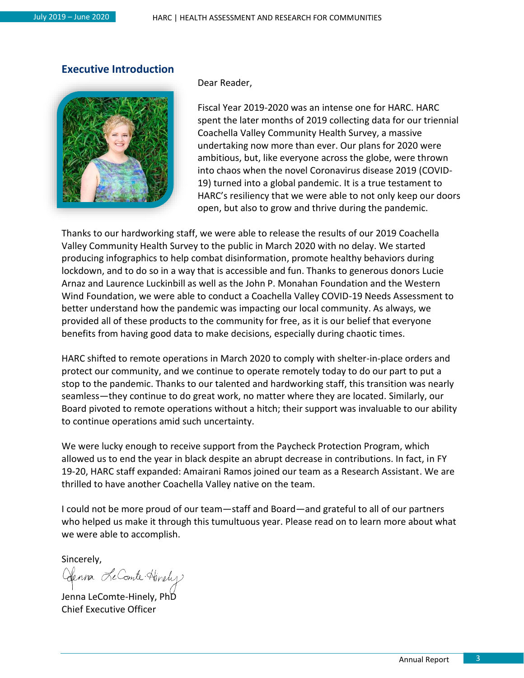#### <span id="page-2-0"></span>**Executive Introduction**



Dear Reader,

Fiscal Year 2019-2020 was an intense one for HARC. HARC spent the later months of 2019 collecting data for our triennial Coachella Valley Community Health Survey, a massive undertaking now more than ever. Our plans for 2020 were ambitious, but, like everyone across the globe, were thrown into chaos when the novel Coronavirus disease 2019 (COVID-19) turned into a global pandemic. It is a true testament to HARC's resiliency that we were able to not only keep our doors open, but also to grow and thrive during the pandemic.

Thanks to our hardworking staff, we were able to release the results of our 2019 Coachella Valley Community Health Survey to the public in March 2020 with no delay. We started producing infographics to help combat disinformation, promote healthy behaviors during lockdown, and to do so in a way that is accessible and fun. Thanks to generous donors Lucie Arnaz and Laurence Luckinbill as well as the John P. Monahan Foundation and the Western Wind Foundation, we were able to conduct a Coachella Valley COVID-19 Needs Assessment to better understand how the pandemic was impacting our local community. As always, we provided all of these products to the community for free, as it is our belief that everyone benefits from having good data to make decisions, especially during chaotic times.

HARC shifted to remote operations in March 2020 to comply with shelter-in-place orders and protect our community, and we continue to operate remotely today to do our part to put a stop to the pandemic. Thanks to our talented and hardworking staff, this transition was nearly seamless—they continue to do great work, no matter where they are located. Similarly, our Board pivoted to remote operations without a hitch; their support was invaluable to our ability to continue operations amid such uncertainty.

We were lucky enough to receive support from the Paycheck Protection Program, which allowed us to end the year in black despite an abrupt decrease in contributions. In fact, in FY 19-20, HARC staff expanded: Amairani Ramos joined our team as a Research Assistant. We are thrilled to have another Coachella Valley native on the team.

I could not be more proud of our team—staff and Board—and grateful to all of our partners who helped us make it through this tumultuous year. Please read on to learn more about what we were able to accomplish.

Sincerely,

Clenna Le Comte Hinely

Jenna LeComte-Hinely, PhD Chief Executive Officer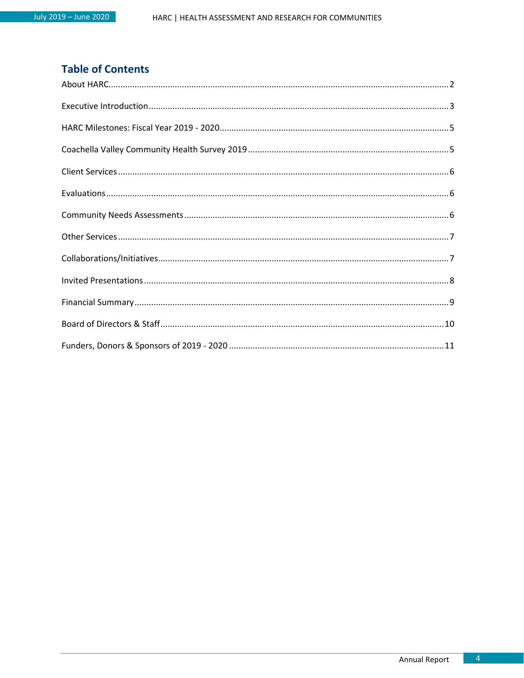#### **Table of Contents**

<span id="page-3-0"></span>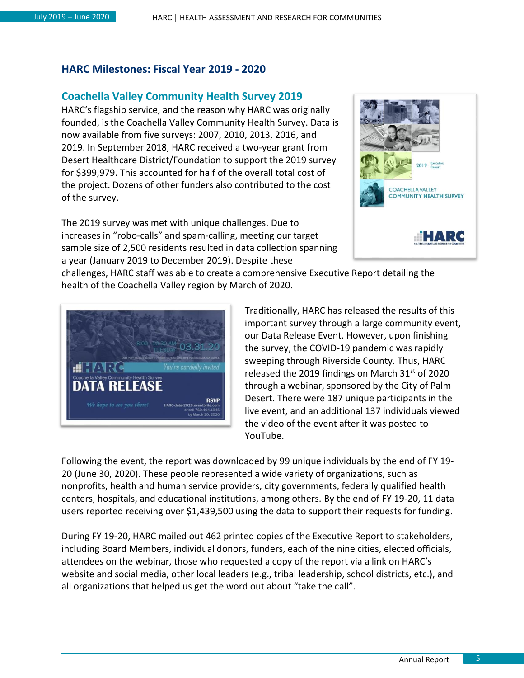#### **HARC Milestones: Fiscal Year 2019 - 2020**

#### <span id="page-4-0"></span>**Coachella Valley Community Health Survey 2019**

HARC's flagship service, and the reason why HARC was originally founded, is the Coachella Valley Community Health Survey. Data is now available from five surveys: 2007, 2010, 2013, 2016, and 2019. In September 2018, HARC received a two-year grant from Desert Healthcare District/Foundation to support the 2019 survey for \$399,979. This accounted for half of the overall total cost of the project. Dozens of other funders also contributed to the cost of the survey.

The 2019 survey was met with unique challenges. Due to increases in "robo-calls" and spam-calling, meeting our target sample size of 2,500 residents resulted in data collection spanning a year (January 2019 to December 2019). Despite these



challenges, HARC staff was able to create a comprehensive Executive Report detailing the health of the Coachella Valley region by March of 2020.



<span id="page-4-1"></span>Traditionally, HARC has released the results of this important survey through a large community event, our Data Release Event. However, upon finishing the survey, the COVID-19 pandemic was rapidly sweeping through Riverside County. Thus, HARC released the 2019 findings on March  $31<sup>st</sup>$  of 2020 through a webinar, sponsored by the City of Palm Desert. There were 187 unique participants in the live event, and an additional 137 individuals viewed the video of the event after it was posted to YouTube.

Following the event, the report was downloaded by 99 unique individuals by the end of FY 19- 20 (June 30, 2020). These people represented a wide variety of organizations, such as nonprofits, health and human service providers, city governments, federally qualified health centers, hospitals, and educational institutions, among others. By the end of FY 19-20, 11 data users reported receiving over \$1,439,500 using the data to support their requests for funding.

During FY 19-20, HARC mailed out 462 printed copies of the Executive Report to stakeholders, including Board Members, individual donors, funders, each of the nine cities, elected officials, attendees on the webinar, those who requested a copy of the report via a link on HARC's website and social media, other local leaders (e.g., tribal leadership, school districts, etc.), and all organizations that helped us get the word out about "take the call".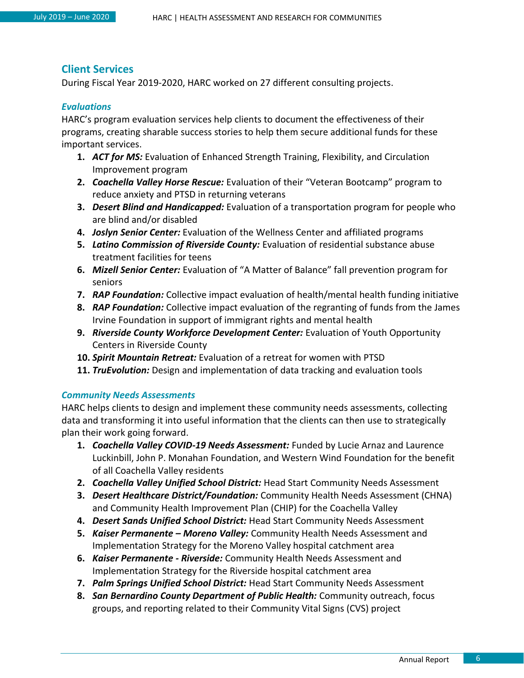#### **Client Services**

During Fiscal Year 2019-2020, HARC worked on 27 different consulting projects.

#### <span id="page-5-0"></span>*Evaluations*

HARC's program evaluation services help clients to document the effectiveness of their programs, creating sharable success stories to help them secure additional funds for these important services.

- **1.** *ACT for MS:* Evaluation of Enhanced Strength Training, Flexibility, and Circulation Improvement program
- **2.** *Coachella Valley Horse Rescue:* Evaluation of their "Veteran Bootcamp" program to reduce anxiety and PTSD in returning veterans
- **3.** *Desert Blind and Handicapped:* Evaluation of a transportation program for people who are blind and/or disabled
- **4.** *Joslyn Senior Center:* Evaluation of the Wellness Center and affiliated programs
- **5.** *Latino Commission of Riverside County:* Evaluation of residential substance abuse treatment facilities for teens
- **6.** *Mizell Senior Center:* Evaluation of "A Matter of Balance" fall prevention program for seniors
- **7.** *RAP Foundation:* Collective impact evaluation of health/mental health funding initiative
- **8.** *RAP Foundation:* Collective impact evaluation of the regranting of funds from the James Irvine Foundation in support of immigrant rights and mental health
- **9.** *Riverside County Workforce Development Center:* Evaluation of Youth Opportunity Centers in Riverside County
- **10.** *Spirit Mountain Retreat:* Evaluation of a retreat for women with PTSD
- **11.** *TruEvolution:* Design and implementation of data tracking and evaluation tools

#### <span id="page-5-1"></span>*Community Needs Assessments*

HARC helps clients to design and implement these community needs assessments, collecting data and transforming it into useful information that the clients can then use to strategically plan their work going forward.

- **1.** *Coachella Valley COVID-19 Needs Assessment:* Funded by Lucie Arnaz and Laurence Luckinbill, John P. Monahan Foundation, and Western Wind Foundation for the benefit of all Coachella Valley residents
- **2.** *Coachella Valley Unified School District:* Head Start Community Needs Assessment
- **3.** *Desert Healthcare District/Foundation:* Community Health Needs Assessment (CHNA) and Community Health Improvement Plan (CHIP) for the Coachella Valley
- **4.** *Desert Sands Unified School District:* Head Start Community Needs Assessment
- **5.** *Kaiser Permanente – Moreno Valley:* Community Health Needs Assessment and Implementation Strategy for the Moreno Valley hospital catchment area
- **6.** *Kaiser Permanente - Riverside:* Community Health Needs Assessment and Implementation Strategy for the Riverside hospital catchment area
- **7.** *Palm Springs Unified School District:* Head Start Community Needs Assessment
- **8.** *San Bernardino County Department of Public Health:* Community outreach, focus groups, and reporting related to their Community Vital Signs (CVS) project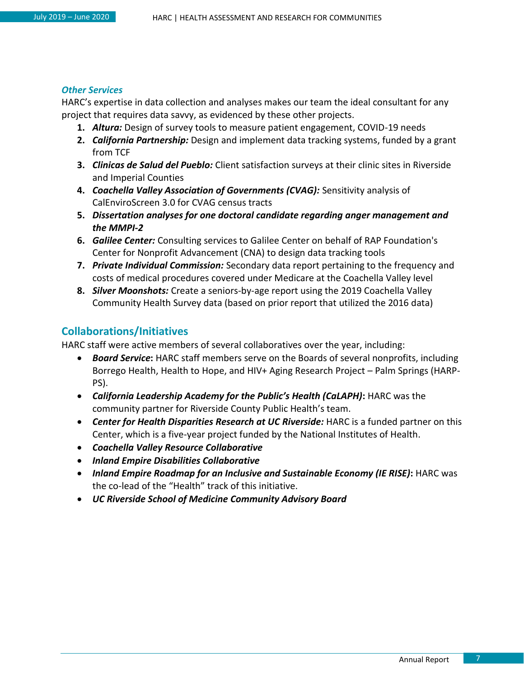#### <span id="page-6-0"></span>*Other Services*

HARC's expertise in data collection and analyses makes our team the ideal consultant for any project that requires data savvy, as evidenced by these other projects.

- **1.** *Altura:* Design of survey tools to measure patient engagement, COVID-19 needs
- **2.** *California Partnership:* Design and implement data tracking systems, funded by a grant from TCF
- **3.** *Clinicas de Salud del Pueblo:* Client satisfaction surveys at their clinic sites in Riverside and Imperial Counties
- **4.** *Coachella Valley Association of Governments (CVAG):* Sensitivity analysis of CalEnviroScreen 3.0 for CVAG census tracts
- **5.** *Dissertation analyses for one doctoral candidate regarding anger management and the MMPI-2*
- **6.** *Galilee Center:* Consulting services to Galilee Center on behalf of RAP Foundation's Center for Nonprofit Advancement (CNA) to design data tracking tools
- **7.** *Private Individual Commission:* Secondary data report pertaining to the frequency and costs of medical procedures covered under Medicare at the Coachella Valley level
- **8.** *Silver Moonshots:* Create a seniors-by-age report using the 2019 Coachella Valley Community Health Survey data (based on prior report that utilized the 2016 data)

#### <span id="page-6-1"></span>**Collaborations/Initiatives**

HARC staff were active members of several collaboratives over the year, including:

- *Board Service***:** HARC staff members serve on the Boards of several nonprofits, including Borrego Health, Health to Hope, and HIV+ Aging Research Project – Palm Springs (HARP-PS).
- *California Leadership Academy for the Public's Health (CaLAPH)***:** HARC was the community partner for Riverside County Public Health's team.
- *Center for Health Disparities Research at UC Riverside:* HARC is a funded partner on this Center, which is a five-year project funded by the National Institutes of Health.
- *Coachella Valley Resource Collaborative*
- *Inland Empire Disabilities Collaborative*
- *Inland Empire Roadmap for an Inclusive and Sustainable Economy (IE RISE)***:** HARC was the co-lead of the "Health" track of this initiative.
- *UC Riverside School of Medicine Community Advisory Board*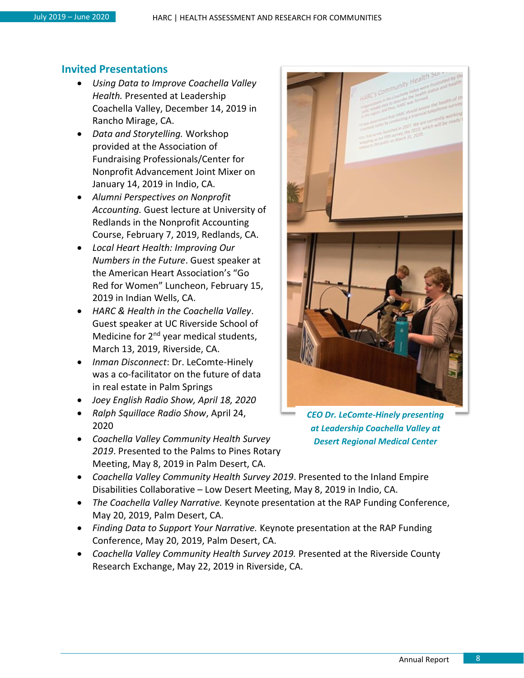#### <span id="page-7-0"></span>**Invited Presentations**

- *Using Data to Improve Coachella Valley Health.* Presented at Leadership Coachella Valley, December 14, 2019 in Rancho Mirage, CA.
- *Data and Storytelling.* Workshop provided at the Association of Fundraising Professionals/Center for Nonprofit Advancement Joint Mixer on January 14, 2019 in Indio, CA.
- *Alumni Perspectives on Nonprofit Accounting.* Guest lecture at University of Redlands in the Nonprofit Accounting Course, February 7, 2019, Redlands, CA.
- *Local Heart Health: Improving Our Numbers in the Future*. Guest speaker at the American Heart Association's "Go Red for Women" Luncheon, February 15, 2019 in Indian Wells, CA.
- *HARC & Health in the Coachella Valley*. Guest speaker at UC Riverside School of Medicine for 2<sup>nd</sup> year medical students, March 13, 2019, Riverside, CA.
- *Inman Disconnect*: Dr. LeComte-Hinely was a co-facilitator on the future of data in real estate in Palm Springs
- *Joey English Radio Show, April 18, 2020*
- *Ralph Squillace Radio Show*, April 24, 2020
- *Coachella Valley Community Health Survey 2019*. Presented to the Palms to Pines Rotary Meeting, May 8, 2019 in Palm Desert, CA.



*CEO Dr. LeComte-Hinely presenting at Leadership Coachella Valley at Desert Regional Medical Center*

- *Coachella Valley Community Health Survey 2019*. Presented to the Inland Empire Disabilities Collaborative – Low Desert Meeting, May 8, 2019 in Indio, CA.
- *The Coachella Valley Narrative.* Keynote presentation at the RAP Funding Conference, May 20, 2019, Palm Desert, CA.
- *Finding Data to Support Your Narrative.* Keynote presentation at the RAP Funding Conference, May 20, 2019, Palm Desert, CA.
- *Coachella Valley Community Health Survey 2019.* Presented at the Riverside County Research Exchange, May 22, 2019 in Riverside, CA.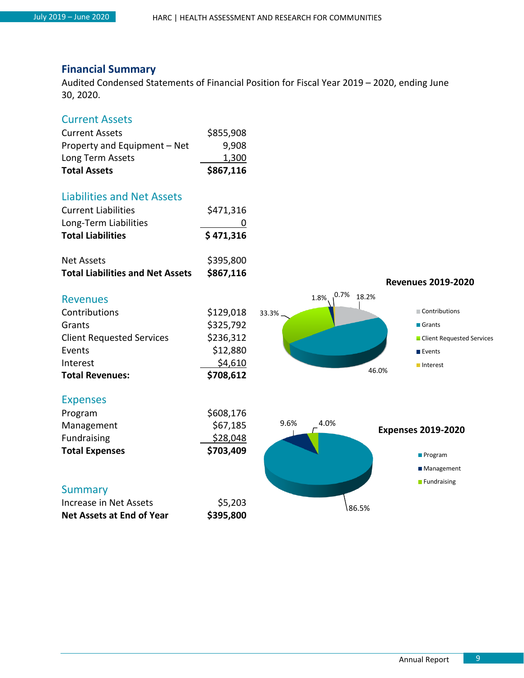#### <span id="page-8-0"></span>**Financial Summary**

Audited Condensed Statements of Financial Position for Fiscal Year 2019 – 2020, ending June 30, 2020.

#### Current Assets

| <b>Total Assets</b>          | \$867,116 |
|------------------------------|-----------|
| Long Term Assets             | 1,300     |
| Property and Equipment - Net | 9,908     |
| <b>Current Assets</b>        | \$855,908 |

#### Liabilities and Net Assets

| <b>Total Liabilities</b>   | \$471,316 |
|----------------------------|-----------|
| Long-Term Liabilities      |           |
| <b>Current Liabilities</b> | \$471,316 |

| <b>Total Liabilities and Net Assets</b> | \$867,116 |
|-----------------------------------------|-----------|
| Net Assets                              | \$395,800 |





#### Expenses

**Revenues** 

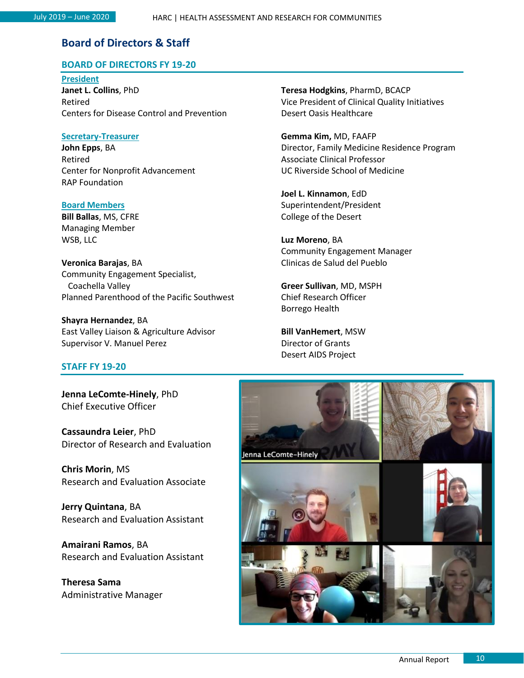#### <span id="page-9-0"></span>**Board of Directors & Staff**

#### **BOARD OF DIRECTORS FY 19-20**

**President Janet L. Collins**, PhD Retired Centers for Disease Control and Prevention

#### **Secretary-Treasurer**

**John Epps**, BA Retired Center for Nonprofit Advancement RAP Foundation

**Board Members Bill Ballas**, MS, CFRE Managing Member WSB, LLC

**Veronica Barajas**, BA Community Engagement Specialist, Coachella Valley Planned Parenthood of the Pacific Southwest

**Shayra Hernandez**, BA East Valley Liaison & Agriculture Advisor Supervisor V. Manuel Perez

#### **STAFF FY 19-20**

**Jenna LeComte-Hinely**, PhD Chief Executive Officer

**Cassaundra Leier**, PhD Director of Research and Evaluation

**Chris Morin**, MS Research and Evaluation Associate

**Jerry Quintana**, BA Research and Evaluation Assistant

**Amairani Ramos**, BA Research and Evaluation Assistant

<span id="page-9-1"></span>**Theresa Sama** Administrative Manager **Teresa Hodgkins**, PharmD, BCACP Vice President of Clinical Quality Initiatives Desert Oasis Healthcare

**Gemma Kim,** MD, FAAFP Director, Family Medicine Residence Program Associate Clinical Professor UC Riverside School of Medicine

**Joel L. Kinnamon**, EdD Superintendent/President College of the Desert

**Luz Moreno**, BA Community Engagement Manager Clinicas de Salud del Pueblo

**Greer Sullivan**, MD, MSPH Chief Research Officer Borrego Health

**Bill VanHemert**, MSW Director of Grants Desert AIDS Project

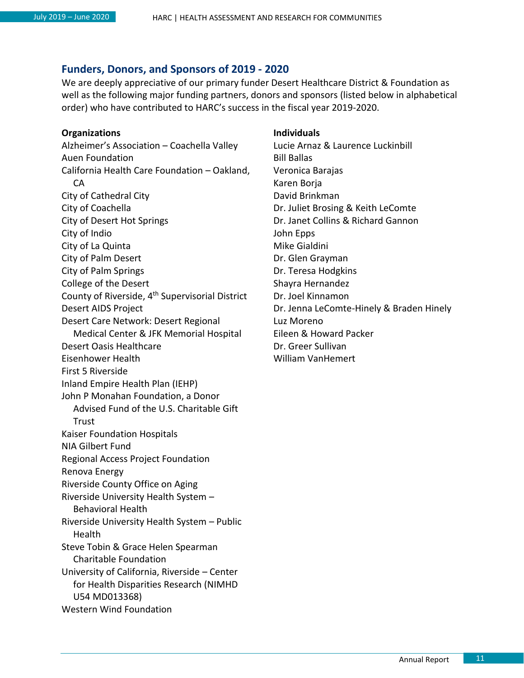#### **Funders, Donors, and Sponsors of 2019 - 2020**

We are deeply appreciative of our primary funder Desert Healthcare District & Foundation as well as the following major funding partners, donors and sponsors (listed below in alphabetical order) who have contributed to HARC's success in the fiscal year 2019-2020.

#### **Organizations**

Alzheimer's Association – Coachella Valley Auen Foundation California Health Care Foundation – Oakland, CA City of Cathedral City City of Coachella City of Desert Hot Springs City of Indio City of La Quinta City of Palm Desert City of Palm Springs College of the Desert County of Riverside, 4th Supervisorial District Desert AIDS Project Desert Care Network: Desert Regional Medical Center & JFK Memorial Hospital Desert Oasis Healthcare Eisenhower Health First 5 Riverside Inland Empire Health Plan (IEHP) John P Monahan Foundation, a Donor Advised Fund of the U.S. Charitable Gift **Trust** Kaiser Foundation Hospitals NIA Gilbert Fund Regional Access Project Foundation Renova Energy Riverside County Office on Aging Riverside University Health System – Behavioral Health Riverside University Health System – Public Health Steve Tobin & Grace Helen Spearman Charitable Foundation University of California, Riverside – Center for Health Disparities Research (NIMHD U54 MD013368)

Western Wind Foundation

#### **Individuals**

Lucie Arnaz & Laurence Luckinbill Bill Ballas Veronica Barajas Karen Borja David Brinkman Dr. Juliet Brosing & Keith LeComte Dr. Janet Collins & Richard Gannon John Epps Mike Gialdini Dr. Glen Grayman Dr. Teresa Hodgkins Shayra Hernandez Dr. Joel Kinnamon Dr. Jenna LeComte-Hinely & Braden Hinely Luz Moreno Eileen & Howard Packer Dr. Greer Sullivan William VanHemert